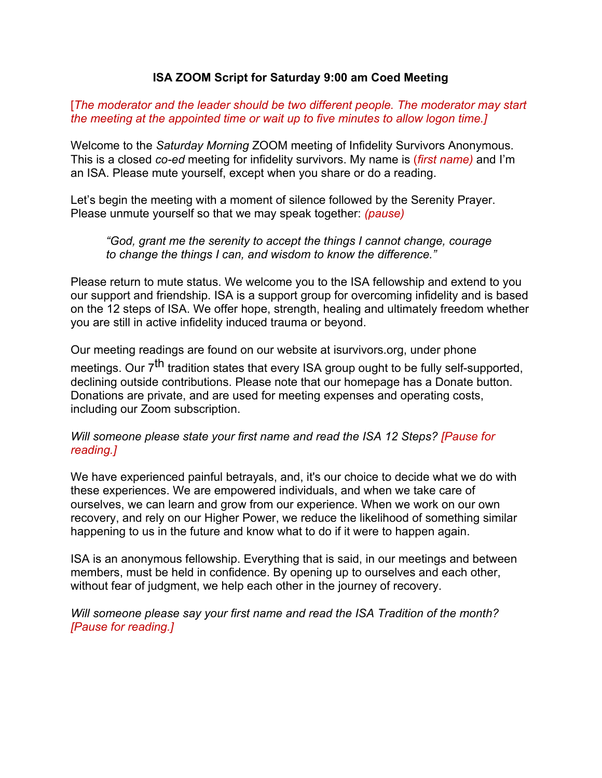## **ISA ZOOM Script for Saturday 9:00 am Coed Meeting**

[*The moderator and the leader should be two different people. The moderator may start the meeting at the appointed time or wait up to five minutes to allow logon time.]* 

Welcome to the *Saturday Morning* ZOOM meeting of Infidelity Survivors Anonymous. This is a closed *co-ed* meeting for infidelity survivors. My name is (*first name)* and I'm an ISA. Please mute yourself, except when you share or do a reading.

Let's begin the meeting with a moment of silence followed by the Serenity Prayer. Please unmute yourself so that we may speak together: *(pause)* 

*"God, grant me the serenity to accept the things I cannot change, courage to change the things I can, and wisdom to know the difference."* 

Please return to mute status. We welcome you to the ISA fellowship and extend to you our support and friendship. ISA is a support group for overcoming infidelity and is based on the 12 steps of ISA. We offer hope, strength, healing and ultimately freedom whether you are still in active infidelity induced trauma or beyond.

Our meeting readings are found on our website at isurvivors.org, under phone meetings. Our 7<sup>th</sup> tradition states that every ISA group ought to be fully self-supported, declining outside contributions. Please note that our homepage has a Donate button. Donations are private, and are used for meeting expenses and operating costs, including our Zoom subscription.

*Will someone please state your first name and read the ISA 12 Steps? [Pause for reading.]* 

We have experienced painful betrayals, and, it's our choice to decide what we do with these experiences. We are empowered individuals, and when we take care of ourselves, we can learn and grow from our experience. When we work on our own recovery, and rely on our Higher Power, we reduce the likelihood of something similar happening to us in the future and know what to do if it were to happen again.

ISA is an anonymous fellowship. Everything that is said, in our meetings and between members, must be held in confidence. By opening up to ourselves and each other, without fear of judgment, we help each other in the journey of recovery.

*Will someone please say your first name and read the ISA Tradition of the month? [Pause for reading.]*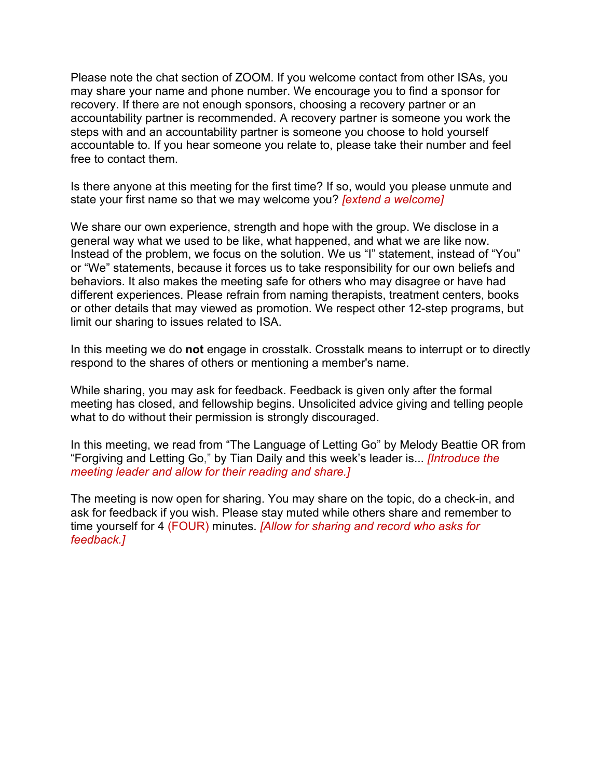Please note the chat section of ZOOM. If you welcome contact from other ISAs, you may share your name and phone number. We encourage you to find a sponsor for recovery. If there are not enough sponsors, choosing a recovery partner or an accountability partner is recommended. A recovery partner is someone you work the steps with and an accountability partner is someone you choose to hold yourself accountable to. If you hear someone you relate to, please take their number and feel free to contact them.

Is there anyone at this meeting for the first time? If so, would you please unmute and state your first name so that we may welcome you? *[extend a welcome]* 

We share our own experience, strength and hope with the group. We disclose in a general way what we used to be like, what happened, and what we are like now. Instead of the problem, we focus on the solution. We us "I" statement, instead of "You" or "We" statements, because it forces us to take responsibility for our own beliefs and behaviors. It also makes the meeting safe for others who may disagree or have had different experiences. Please refrain from naming therapists, treatment centers, books or other details that may viewed as promotion. We respect other 12-step programs, but limit our sharing to issues related to ISA.

In this meeting we do **not** engage in crosstalk. Crosstalk means to interrupt or to directly respond to the shares of others or mentioning a member's name.

While sharing, you may ask for feedback. Feedback is given only after the formal meeting has closed, and fellowship begins. Unsolicited advice giving and telling people what to do without their permission is strongly discouraged.

In this meeting, we read from "The Language of Letting Go" by Melody Beattie OR from "Forgiving and Letting Go," by Tian Daily and this week's leader is... *[Introduce the meeting leader and allow for their reading and share.]* 

The meeting is now open for sharing. You may share on the topic, do a check-in, and ask for feedback if you wish. Please stay muted while others share and remember to time yourself for 4 (FOUR) minutes. *[Allow for sharing and record who asks for feedback.]*